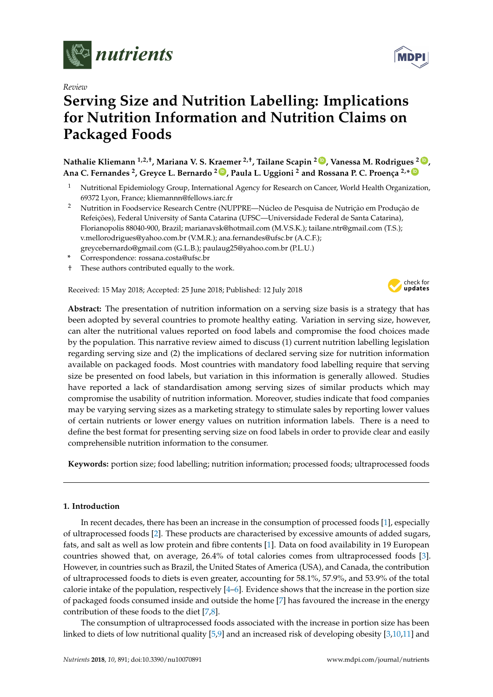

*Review*

# **Serving Size and Nutrition Labelling: Implications for Nutrition Information and Nutrition Claims on Packaged Foods**

**Nathalie Kliemann 1,2,†, Mariana V. S. Kraemer 2,†, Tailane Scapin <sup>2</sup> [ID](https://orcid.org/0000-0002-2328-1277) , Vanessa M. Rodrigues <sup>2</sup> [ID](https://orcid.org/0000-0002-8214-9137) , Ana C. Fernandes <sup>2</sup> , Greyce L. Bernardo <sup>2</sup> [ID](https://orcid.org/0000-0003-0411-012X) , Paula L. Uggioni <sup>2</sup> and Rossana P. C. Proença 2,\* [ID](https://orcid.org/0000-0001-6149-8752)**

- <sup>1</sup> Nutritional Epidemiology Group, International Agency for Research on Cancer, World Health Organization, 69372 Lyon, France; kliemannn@fellows.iarc.fr
- <sup>2</sup> Nutrition in Foodservice Research Centre (NUPPRE—Núcleo de Pesquisa de Nutrição em Produção de Refeições), Federal University of Santa Catarina (UFSC—Universidade Federal de Santa Catarina), Florianopolis 88040-900, Brazil; marianavsk@hotmail.com (M.V.S.K.); tailane.ntr@gmail.com (T.S.); v.mellorodrigues@yahoo.com.br (V.M.R.); ana.fernandes@ufsc.br (A.C.F.); greycebernardo@gmail.com (G.L.B.); paulaug25@yahoo.com.br (P.L.U.)
- **\*** Correspondence: rossana.costa@ufsc.br
- † These authors contributed equally to the work.

Received: 15 May 2018; Accepted: 25 June 2018; Published: 12 July 2018



**Abstract:** The presentation of nutrition information on a serving size basis is a strategy that has been adopted by several countries to promote healthy eating. Variation in serving size, however, can alter the nutritional values reported on food labels and compromise the food choices made by the population. This narrative review aimed to discuss (1) current nutrition labelling legislation regarding serving size and (2) the implications of declared serving size for nutrition information available on packaged foods. Most countries with mandatory food labelling require that serving size be presented on food labels, but variation in this information is generally allowed. Studies have reported a lack of standardisation among serving sizes of similar products which may compromise the usability of nutrition information. Moreover, studies indicate that food companies may be varying serving sizes as a marketing strategy to stimulate sales by reporting lower values of certain nutrients or lower energy values on nutrition information labels. There is a need to define the best format for presenting serving size on food labels in order to provide clear and easily comprehensible nutrition information to the consumer.

**Keywords:** portion size; food labelling; nutrition information; processed foods; ultraprocessed foods

## **1. Introduction**

In recent decades, there has been an increase in the consumption of processed foods [\[1\]](#page-8-0), especially of ultraprocessed foods [\[2\]](#page-8-1). These products are characterised by excessive amounts of added sugars, fats, and salt as well as low protein and fibre contents [\[1\]](#page-8-0). Data on food availability in 19 European countries showed that, on average, 26.4% of total calories comes from ultraprocessed foods [\[3\]](#page-8-2). However, in countries such as Brazil, the United States of America (USA), and Canada, the contribution of ultraprocessed foods to diets is even greater, accounting for 58.1%, 57.9%, and 53.9% of the total calorie intake of the population, respectively  $[4–6]$  $[4–6]$ . Evidence shows that the increase in the portion size of packaged foods consumed inside and outside the home [\[7\]](#page-9-1) has favoured the increase in the energy contribution of these foods to the diet [\[7](#page-9-1)[,8\]](#page-9-2).

The consumption of ultraprocessed foods associated with the increase in portion size has been linked to diets of low nutritional quality [\[5](#page-9-3)[,9\]](#page-9-4) and an increased risk of developing obesity [\[3,](#page-8-2)[10,](#page-9-5)[11\]](#page-9-6) and

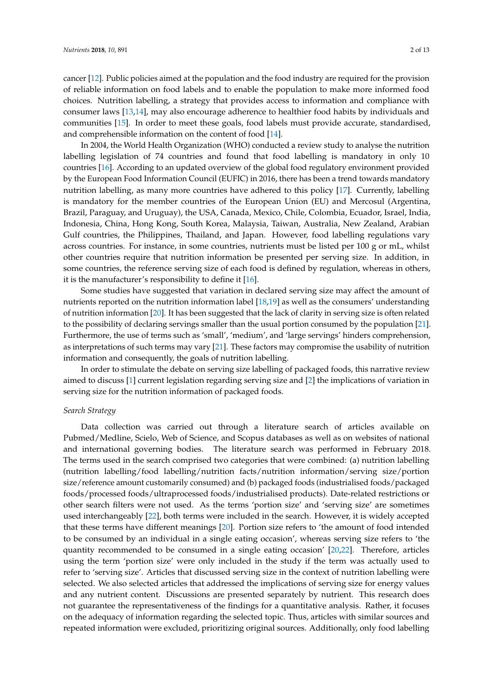cancer [\[12\]](#page-9-7). Public policies aimed at the population and the food industry are required for the provision of reliable information on food labels and to enable the population to make more informed food choices. Nutrition labelling, a strategy that provides access to information and compliance with consumer laws [\[13](#page-9-8)[,14\]](#page-9-9), may also encourage adherence to healthier food habits by individuals and communities [\[15\]](#page-9-10). In order to meet these goals, food labels must provide accurate, standardised, and comprehensible information on the content of food [\[14\]](#page-9-9).

In 2004, the World Health Organization (WHO) conducted a review study to analyse the nutrition labelling legislation of 74 countries and found that food labelling is mandatory in only 10 countries [\[16\]](#page-9-11). According to an updated overview of the global food regulatory environment provided by the European Food Information Council (EUFIC) in 2016, there has been a trend towards mandatory nutrition labelling, as many more countries have adhered to this policy [\[17\]](#page-9-12). Currently, labelling is mandatory for the member countries of the European Union (EU) and Mercosul (Argentina, Brazil, Paraguay, and Uruguay), the USA, Canada, Mexico, Chile, Colombia, Ecuador, Israel, India, Indonesia, China, Hong Kong, South Korea, Malaysia, Taiwan, Australia, New Zealand, Arabian Gulf countries, the Philippines, Thailand, and Japan. However, food labelling regulations vary across countries. For instance, in some countries, nutrients must be listed per 100 g or mL, whilst other countries require that nutrition information be presented per serving size. In addition, in some countries, the reference serving size of each food is defined by regulation, whereas in others, it is the manufacturer's responsibility to define it [\[16\]](#page-9-11).

Some studies have suggested that variation in declared serving size may affect the amount of nutrients reported on the nutrition information label [\[18,](#page-9-13)[19\]](#page-9-14) as well as the consumers' understanding of nutrition information [\[20\]](#page-9-15). It has been suggested that the lack of clarity in serving size is often related to the possibility of declaring servings smaller than the usual portion consumed by the population [\[21\]](#page-9-16). Furthermore, the use of terms such as 'small', 'medium', and 'large servings' hinders comprehension, as interpretations of such terms may vary [\[21\]](#page-9-16). These factors may compromise the usability of nutrition information and consequently, the goals of nutrition labelling.

In order to stimulate the debate on serving size labelling of packaged foods, this narrative review aimed to discuss [\[1\]](#page-8-0) current legislation regarding serving size and [\[2\]](#page-8-1) the implications of variation in serving size for the nutrition information of packaged foods.

#### *Search Strategy*

Data collection was carried out through a literature search of articles available on Pubmed/Medline, Scielo, Web of Science, and Scopus databases as well as on websites of national and international governing bodies. The literature search was performed in February 2018. The terms used in the search comprised two categories that were combined: (a) nutrition labelling (nutrition labelling/food labelling/nutrition facts/nutrition information/serving size/portion size/reference amount customarily consumed) and (b) packaged foods (industrialised foods/packaged foods/processed foods/ultraprocessed foods/industrialised products). Date-related restrictions or other search filters were not used. As the terms 'portion size' and 'serving size' are sometimes used interchangeably [\[22\]](#page-9-17), both terms were included in the search. However, it is widely accepted that these terms have different meanings [\[20\]](#page-9-15). Portion size refers to 'the amount of food intended to be consumed by an individual in a single eating occasion', whereas serving size refers to 'the quantity recommended to be consumed in a single eating occasion' [\[20,](#page-9-15)[22\]](#page-9-17). Therefore, articles using the term 'portion size' were only included in the study if the term was actually used to refer to 'serving size'. Articles that discussed serving size in the context of nutrition labelling were selected. We also selected articles that addressed the implications of serving size for energy values and any nutrient content. Discussions are presented separately by nutrient. This research does not guarantee the representativeness of the findings for a quantitative analysis. Rather, it focuses on the adequacy of information regarding the selected topic. Thus, articles with similar sources and repeated information were excluded, prioritizing original sources. Additionally, only food labelling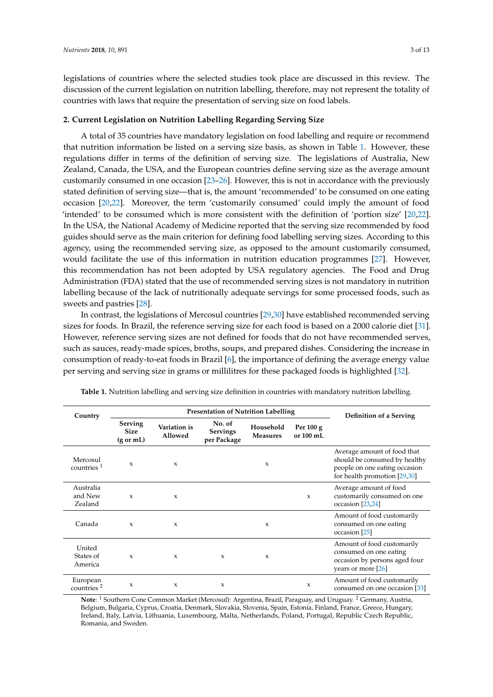legislations of countries where the selected studies took place are discussed in this review. The discussion of the current legislation on nutrition labelling, therefore, may not represent the totality of countries with laws that require the presentation of serving size on food labels.

#### **2. Current Legislation on Nutrition Labelling Regarding Serving Size**

A total of 35 countries have mandatory legislation on food labelling and require or recommend that nutrition information be listed on a serving size basis, as shown in Table [1.](#page-2-0) However, these regulations differ in terms of the definition of serving size. The legislations of Australia, New Zealand, Canada, the USA, and the European countries define serving size as the average amount customarily consumed in one occasion [\[23–](#page-9-18)[26\]](#page-10-0). However, this is not in accordance with the previously stated definition of serving size—that is, the amount 'recommended' to be consumed on one eating occasion [\[20](#page-9-15)[,22\]](#page-9-17). Moreover, the term 'customarily consumed' could imply the amount of food 'intended' to be consumed which is more consistent with the definition of 'portion size' [\[20,](#page-9-15)[22\]](#page-9-17). In the USA, the National Academy of Medicine reported that the serving size recommended by food guides should serve as the main criterion for defining food labelling serving sizes. According to this agency, using the recommended serving size, as opposed to the amount customarily consumed, would facilitate the use of this information in nutrition education programmes [\[27\]](#page-10-1). However, this recommendation has not been adopted by USA regulatory agencies. The Food and Drug Administration (FDA) stated that the use of recommended serving sizes is not mandatory in nutrition labelling because of the lack of nutritionally adequate servings for some processed foods, such as sweets and pastries [\[28\]](#page-10-2).

In contrast, the legislations of Mercosul countries [\[29,](#page-10-3)[30\]](#page-10-4) have established recommended serving sizes for foods. In Brazil, the reference serving size for each food is based on a 2000 calorie diet [\[31\]](#page-10-5). However, reference serving sizes are not defined for foods that do not have recommended serves, such as sauces, ready-made spices, broths, soups, and prepared dishes. Considering the increase in consumption of ready-to-eat foods in Brazil [\[6\]](#page-9-0), the importance of defining the average energy value per serving and serving size in grams or millilitres for these packaged foods is highlighted [\[32\]](#page-10-6).

| Country                            | <b>Presentation of Nutrition Labelling</b>            |                           |                                          |                              |                          | Definition of a Serving                                                                                                       |
|------------------------------------|-------------------------------------------------------|---------------------------|------------------------------------------|------------------------------|--------------------------|-------------------------------------------------------------------------------------------------------------------------------|
|                                    | <b>Serving</b><br><b>Size</b><br>$(g \text{ or } mL)$ | Variation is<br>Allowed   | No. of<br><b>Servings</b><br>per Package | Household<br><b>Measures</b> | Per $100 g$<br>or 100 mL |                                                                                                                               |
| Mercosul<br>countries $1$          | X                                                     | $\mathbf{x}$              |                                          | $\mathbf{x}$                 |                          | Average amount of food that<br>should be consumed by healthy<br>people on one eating occasion<br>for health promotion [29,30] |
| Australia<br>and New<br>Zealand    | $\mathbf{x}$                                          | $\boldsymbol{\mathsf{x}}$ |                                          |                              | $\mathbf x$              | Average amount of food<br>customarily consumed on one<br>occasion $[23,24]$                                                   |
| Canada                             | $\mathbf{x}$                                          | $\mathbf{x}$              |                                          | $\mathbf{x}$                 |                          | Amount of food customarily<br>consumed on one eating<br>occasion [25]                                                         |
| United<br>States of<br>America     | $\mathbf{x}$                                          | $\mathbf{x}$              | $\mathbf{x}$                             | $\mathbf{x}$                 |                          | Amount of food customarily<br>consumed on one eating<br>occasion by persons aged four<br>years or more $[26]$                 |
| European<br>countries <sup>2</sup> | X                                                     | X                         | X                                        |                              | $\mathbf{x}$             | Amount of food customarily<br>consumed on one occasion [33]                                                                   |

<span id="page-2-0"></span>**Table 1.** Nutrition labelling and serving size definition in countries with mandatory nutrition labelling.

**Note**: <sup>1</sup> Southern Cone Common Market (Mercosul): Argentina, Brazil, Paraguay, and Uruguay. <sup>2</sup> Germany, Austria, Belgium, Bulgaria, Cyprus, Croatia, Denmark, Slovakia, Slovenia, Spain, Estonia, Finland, France, Greece, Hungary, Ireland, Italy, Latvia, Lithuania, Luxembourg, Malta, Netherlands, Poland, Portugal, Republic Czech Republic, Romania, and Sweden.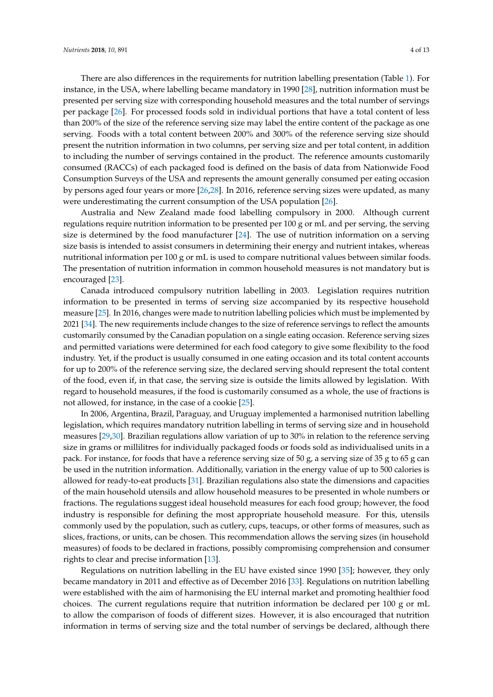There are also differences in the requirements for nutrition labelling presentation (Table [1\)](#page-2-0). For instance, in the USA, where labelling became mandatory in 1990 [\[28\]](#page-10-2), nutrition information must be presented per serving size with corresponding household measures and the total number of servings per package [\[26\]](#page-10-0). For processed foods sold in individual portions that have a total content of less than 200% of the size of the reference serving size may label the entire content of the package as one serving. Foods with a total content between 200% and 300% of the reference serving size should present the nutrition information in two columns, per serving size and per total content, in addition to including the number of servings contained in the product. The reference amounts customarily consumed (RACCs) of each packaged food is defined on the basis of data from Nationwide Food Consumption Surveys of the USA and represents the amount generally consumed per eating occasion by persons aged four years or more [\[26,](#page-10-0)[28\]](#page-10-2). In 2016, reference serving sizes were updated, as many were underestimating the current consumption of the USA population [\[26\]](#page-10-0).

Australia and New Zealand made food labelling compulsory in 2000. Although current regulations require nutrition information to be presented per 100 g or mL and per serving, the serving size is determined by the food manufacturer [\[24\]](#page-9-19). The use of nutrition information on a serving size basis is intended to assist consumers in determining their energy and nutrient intakes, whereas nutritional information per 100 g or mL is used to compare nutritional values between similar foods. The presentation of nutrition information in common household measures is not mandatory but is encouraged [\[23\]](#page-9-18).

Canada introduced compulsory nutrition labelling in 2003. Legislation requires nutrition information to be presented in terms of serving size accompanied by its respective household measure [\[25\]](#page-9-20). In 2016, changes were made to nutrition labelling policies which must be implemented by 2021 [\[34\]](#page-10-8). The new requirements include changes to the size of reference servings to reflect the amounts customarily consumed by the Canadian population on a single eating occasion. Reference serving sizes and permitted variations were determined for each food category to give some flexibility to the food industry. Yet, if the product is usually consumed in one eating occasion and its total content accounts for up to 200% of the reference serving size, the declared serving should represent the total content of the food, even if, in that case, the serving size is outside the limits allowed by legislation. With regard to household measures, if the food is customarily consumed as a whole, the use of fractions is not allowed, for instance, in the case of a cookie [\[25\]](#page-9-20).

In 2006, Argentina, Brazil, Paraguay, and Uruguay implemented a harmonised nutrition labelling legislation, which requires mandatory nutrition labelling in terms of serving size and in household measures [\[29](#page-10-3)[,30\]](#page-10-4). Brazilian regulations allow variation of up to 30% in relation to the reference serving size in grams or millilitres for individually packaged foods or foods sold as individualised units in a pack. For instance, for foods that have a reference serving size of 50 g, a serving size of 35 g to 65 g can be used in the nutrition information. Additionally, variation in the energy value of up to 500 calories is allowed for ready-to-eat products [\[31\]](#page-10-5). Brazilian regulations also state the dimensions and capacities of the main household utensils and allow household measures to be presented in whole numbers or fractions. The regulations suggest ideal household measures for each food group; however, the food industry is responsible for defining the most appropriate household measure. For this, utensils commonly used by the population, such as cutlery, cups, teacups, or other forms of measures, such as slices, fractions, or units, can be chosen. This recommendation allows the serving sizes (in household measures) of foods to be declared in fractions, possibly compromising comprehension and consumer rights to clear and precise information [\[13\]](#page-9-8).

Regulations on nutrition labelling in the EU have existed since 1990 [\[35\]](#page-10-9); however, they only became mandatory in 2011 and effective as of December 2016 [\[33\]](#page-10-7). Regulations on nutrition labelling were established with the aim of harmonising the EU internal market and promoting healthier food choices. The current regulations require that nutrition information be declared per 100 g or mL to allow the comparison of foods of different sizes. However, it is also encouraged that nutrition information in terms of serving size and the total number of servings be declared, although there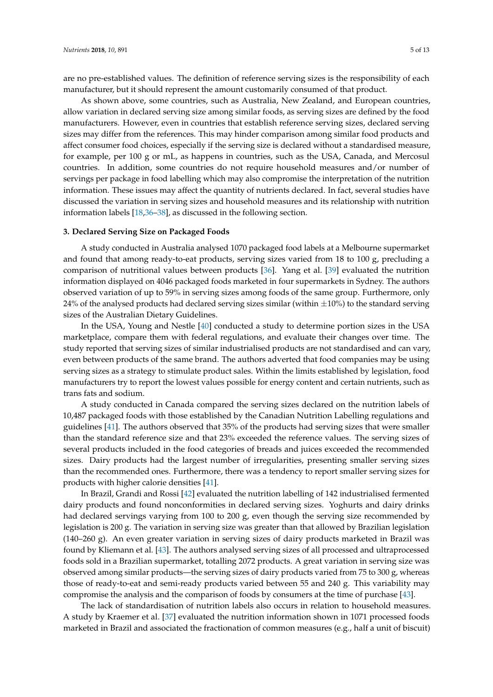are no pre-established values. The definition of reference serving sizes is the responsibility of each manufacturer, but it should represent the amount customarily consumed of that product.

As shown above, some countries, such as Australia, New Zealand, and European countries, allow variation in declared serving size among similar foods, as serving sizes are defined by the food manufacturers. However, even in countries that establish reference serving sizes, declared serving sizes may differ from the references. This may hinder comparison among similar food products and affect consumer food choices, especially if the serving size is declared without a standardised measure, for example, per 100 g or mL, as happens in countries, such as the USA, Canada, and Mercosul countries. In addition, some countries do not require household measures and/or number of servings per package in food labelling which may also compromise the interpretation of the nutrition information. These issues may affect the quantity of nutrients declared. In fact, several studies have discussed the variation in serving sizes and household measures and its relationship with nutrition information labels [\[18,](#page-9-13)[36](#page-10-10)[–38\]](#page-10-11), as discussed in the following section.

### **3. Declared Serving Size on Packaged Foods**

A study conducted in Australia analysed 1070 packaged food labels at a Melbourne supermarket and found that among ready-to-eat products, serving sizes varied from 18 to 100 g, precluding a comparison of nutritional values between products [\[36\]](#page-10-10). Yang et al. [\[39\]](#page-10-12) evaluated the nutrition information displayed on 4046 packaged foods marketed in four supermarkets in Sydney. The authors observed variation of up to 59% in serving sizes among foods of the same group. Furthermore, only 24% of the analysed products had declared serving sizes similar (within  $\pm 10\%$ ) to the standard serving sizes of the Australian Dietary Guidelines.

In the USA, Young and Nestle [\[40\]](#page-10-13) conducted a study to determine portion sizes in the USA marketplace, compare them with federal regulations, and evaluate their changes over time. The study reported that serving sizes of similar industrialised products are not standardised and can vary, even between products of the same brand. The authors adverted that food companies may be using serving sizes as a strategy to stimulate product sales. Within the limits established by legislation, food manufacturers try to report the lowest values possible for energy content and certain nutrients, such as trans fats and sodium.

A study conducted in Canada compared the serving sizes declared on the nutrition labels of 10,487 packaged foods with those established by the Canadian Nutrition Labelling regulations and guidelines [\[41\]](#page-10-14). The authors observed that 35% of the products had serving sizes that were smaller than the standard reference size and that 23% exceeded the reference values. The serving sizes of several products included in the food categories of breads and juices exceeded the recommended sizes. Dairy products had the largest number of irregularities, presenting smaller serving sizes than the recommended ones. Furthermore, there was a tendency to report smaller serving sizes for products with higher calorie densities [\[41\]](#page-10-14).

In Brazil, Grandi and Rossi [\[42\]](#page-10-15) evaluated the nutrition labelling of 142 industrialised fermented dairy products and found nonconformities in declared serving sizes. Yoghurts and dairy drinks had declared servings varying from 100 to 200 g, even though the serving size recommended by legislation is 200 g. The variation in serving size was greater than that allowed by Brazilian legislation (140–260 g). An even greater variation in serving sizes of dairy products marketed in Brazil was found by Kliemann et al. [\[43\]](#page-10-16). The authors analysed serving sizes of all processed and ultraprocessed foods sold in a Brazilian supermarket, totalling 2072 products. A great variation in serving size was observed among similar products—the serving sizes of dairy products varied from 75 to 300 g, whereas those of ready-to-eat and semi-ready products varied between 55 and 240 g. This variability may compromise the analysis and the comparison of foods by consumers at the time of purchase [\[43\]](#page-10-16).

The lack of standardisation of nutrition labels also occurs in relation to household measures. A study by Kraemer et al. [\[37\]](#page-10-17) evaluated the nutrition information shown in 1071 processed foods marketed in Brazil and associated the fractionation of common measures (e.g., half a unit of biscuit)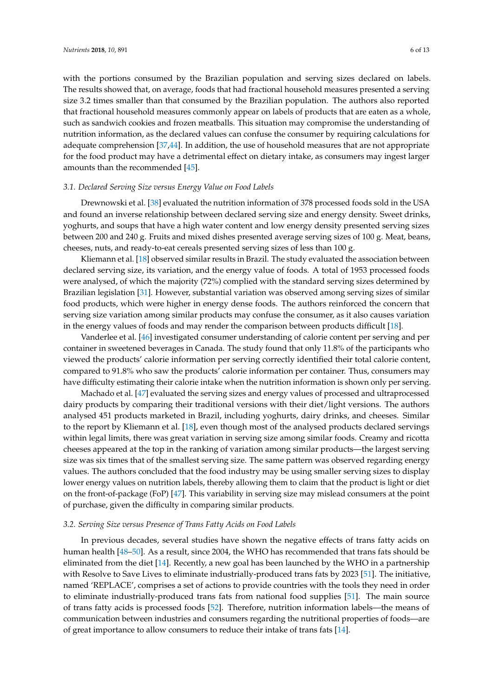with the portions consumed by the Brazilian population and serving sizes declared on labels. The results showed that, on average, foods that had fractional household measures presented a serving size 3.2 times smaller than that consumed by the Brazilian population. The authors also reported that fractional household measures commonly appear on labels of products that are eaten as a whole, such as sandwich cookies and frozen meatballs. This situation may compromise the understanding of nutrition information, as the declared values can confuse the consumer by requiring calculations for adequate comprehension [\[37](#page-10-17)[,44\]](#page-10-18). In addition, the use of household measures that are not appropriate for the food product may have a detrimental effect on dietary intake, as consumers may ingest larger amounts than the recommended [\[45\]](#page-10-19).

#### *3.1. Declared Serving Size versus Energy Value on Food Labels*

Drewnowski et al. [\[38\]](#page-10-11) evaluated the nutrition information of 378 processed foods sold in the USA and found an inverse relationship between declared serving size and energy density. Sweet drinks, yoghurts, and soups that have a high water content and low energy density presented serving sizes between 200 and 240 g. Fruits and mixed dishes presented average serving sizes of 100 g. Meat, beans, cheeses, nuts, and ready-to-eat cereals presented serving sizes of less than 100 g.

Kliemann et al. [\[18\]](#page-9-13) observed similar results in Brazil. The study evaluated the association between declared serving size, its variation, and the energy value of foods. A total of 1953 processed foods were analysed, of which the majority (72%) complied with the standard serving sizes determined by Brazilian legislation [\[31\]](#page-10-5). However, substantial variation was observed among serving sizes of similar food products, which were higher in energy dense foods. The authors reinforced the concern that serving size variation among similar products may confuse the consumer, as it also causes variation in the energy values of foods and may render the comparison between products difficult [\[18\]](#page-9-13).

Vanderlee et al. [\[46\]](#page-10-20) investigated consumer understanding of calorie content per serving and per container in sweetened beverages in Canada. The study found that only 11.8% of the participants who viewed the products' calorie information per serving correctly identified their total calorie content, compared to 91.8% who saw the products' calorie information per container. Thus, consumers may have difficulty estimating their calorie intake when the nutrition information is shown only per serving.

Machado et al. [\[47\]](#page-10-21) evaluated the serving sizes and energy values of processed and ultraprocessed dairy products by comparing their traditional versions with their diet/light versions. The authors analysed 451 products marketed in Brazil, including yoghurts, dairy drinks, and cheeses. Similar to the report by Kliemann et al. [\[18\]](#page-9-13), even though most of the analysed products declared servings within legal limits, there was great variation in serving size among similar foods. Creamy and ricotta cheeses appeared at the top in the ranking of variation among similar products—the largest serving size was six times that of the smallest serving size. The same pattern was observed regarding energy values. The authors concluded that the food industry may be using smaller serving sizes to display lower energy values on nutrition labels, thereby allowing them to claim that the product is light or diet on the front-of-package (FoP) [\[47\]](#page-10-21). This variability in serving size may mislead consumers at the point of purchase, given the difficulty in comparing similar products.

#### *3.2. Serving Size versus Presence of Trans Fatty Acids on Food Labels*

In previous decades, several studies have shown the negative effects of trans fatty acids on human health [\[48–](#page-10-22)[50\]](#page-11-0). As a result, since 2004, the WHO has recommended that trans fats should be eliminated from the diet [\[14\]](#page-9-9). Recently, a new goal has been launched by the WHO in a partnership with Resolve to Save Lives to eliminate industrially-produced trans fats by 2023 [\[51\]](#page-11-1). The initiative, named 'REPLACE', comprises a set of actions to provide countries with the tools they need in order to eliminate industrially-produced trans fats from national food supplies [\[51\]](#page-11-1). The main source of trans fatty acids is processed foods [\[52\]](#page-11-2). Therefore, nutrition information labels—the means of communication between industries and consumers regarding the nutritional properties of foods—are of great importance to allow consumers to reduce their intake of trans fats [\[14\]](#page-9-9).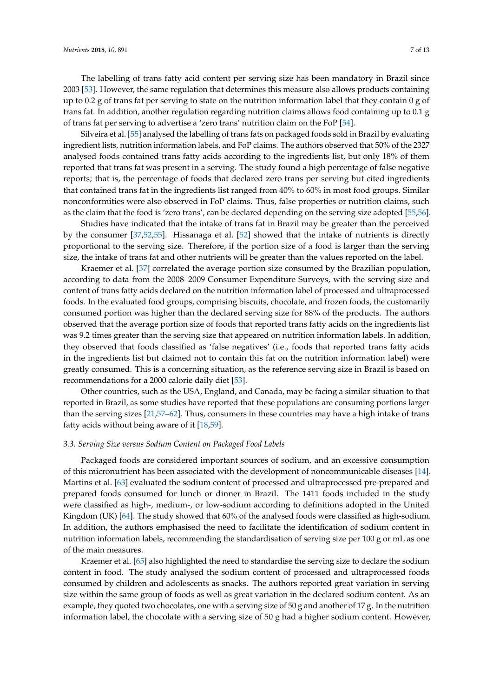The labelling of trans fatty acid content per serving size has been mandatory in Brazil since 2003 [\[53\]](#page-11-3). However, the same regulation that determines this measure also allows products containing up to 0.2 g of trans fat per serving to state on the nutrition information label that they contain 0 g of trans fat. In addition, another regulation regarding nutrition claims allows food containing up to 0.1 g of trans fat per serving to advertise a 'zero trans' nutrition claim on the FoP [\[54\]](#page-11-4).

Silveira et al. [\[55\]](#page-11-5) analysed the labelling of trans fats on packaged foods sold in Brazil by evaluating ingredient lists, nutrition information labels, and FoP claims. The authors observed that 50% of the 2327 analysed foods contained trans fatty acids according to the ingredients list, but only 18% of them reported that trans fat was present in a serving. The study found a high percentage of false negative reports; that is, the percentage of foods that declared zero trans per serving but cited ingredients that contained trans fat in the ingredients list ranged from 40% to 60% in most food groups. Similar nonconformities were also observed in FoP claims. Thus, false properties or nutrition claims, such as the claim that the food is 'zero trans', can be declared depending on the serving size adopted [\[55](#page-11-5)[,56\]](#page-11-6).

Studies have indicated that the intake of trans fat in Brazil may be greater than the perceived by the consumer [\[37](#page-10-17)[,52](#page-11-2)[,55\]](#page-11-5). Hissanaga et al. [\[52\]](#page-11-2) showed that the intake of nutrients is directly proportional to the serving size. Therefore, if the portion size of a food is larger than the serving size, the intake of trans fat and other nutrients will be greater than the values reported on the label.

Kraemer et al. [\[37\]](#page-10-17) correlated the average portion size consumed by the Brazilian population, according to data from the 2008–2009 Consumer Expenditure Surveys, with the serving size and content of trans fatty acids declared on the nutrition information label of processed and ultraprocessed foods. In the evaluated food groups, comprising biscuits, chocolate, and frozen foods, the customarily consumed portion was higher than the declared serving size for 88% of the products. The authors observed that the average portion size of foods that reported trans fatty acids on the ingredients list was 9.2 times greater than the serving size that appeared on nutrition information labels. In addition, they observed that foods classified as 'false negatives' (i.e., foods that reported trans fatty acids in the ingredients list but claimed not to contain this fat on the nutrition information label) were greatly consumed. This is a concerning situation, as the reference serving size in Brazil is based on recommendations for a 2000 calorie daily diet [\[53\]](#page-11-3).

Other countries, such as the USA, England, and Canada, may be facing a similar situation to that reported in Brazil, as some studies have reported that these populations are consuming portions larger than the serving sizes [\[21,](#page-9-16)[57–](#page-11-7)[62\]](#page-11-8). Thus, consumers in these countries may have a high intake of trans fatty acids without being aware of it [\[18](#page-9-13)[,59\]](#page-11-9).

## *3.3. Serving Size versus Sodium Content on Packaged Food Labels*

Packaged foods are considered important sources of sodium, and an excessive consumption of this micronutrient has been associated with the development of noncommunicable diseases [\[14\]](#page-9-9). Martins et al. [\[63\]](#page-11-10) evaluated the sodium content of processed and ultraprocessed pre-prepared and prepared foods consumed for lunch or dinner in Brazil. The 1411 foods included in the study were classified as high-, medium-, or low-sodium according to definitions adopted in the United Kingdom (UK) [\[64\]](#page-11-11). The study showed that 60% of the analysed foods were classified as high-sodium. In addition, the authors emphasised the need to facilitate the identification of sodium content in nutrition information labels, recommending the standardisation of serving size per 100 g or mL as one of the main measures.

Kraemer et al. [\[65\]](#page-11-12) also highlighted the need to standardise the serving size to declare the sodium content in food. The study analysed the sodium content of processed and ultraprocessed foods consumed by children and adolescents as snacks. The authors reported great variation in serving size within the same group of foods as well as great variation in the declared sodium content. As an example, they quoted two chocolates, one with a serving size of 50 g and another of 17 g. In the nutrition information label, the chocolate with a serving size of 50 g had a higher sodium content. However,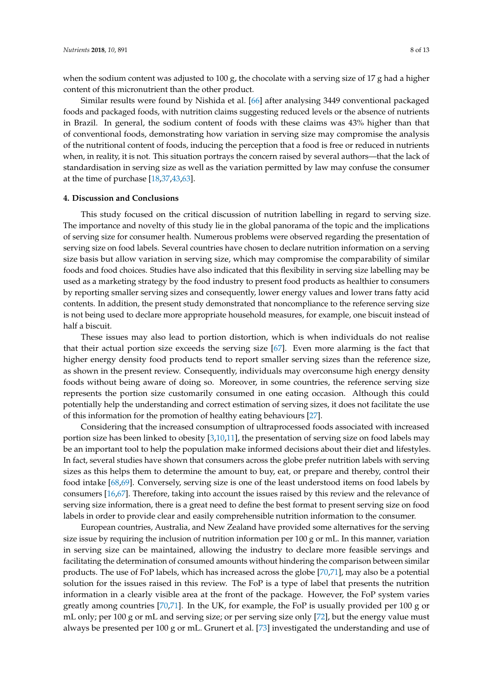when the sodium content was adjusted to 100 g, the chocolate with a serving size of 17 g had a higher content of this micronutrient than the other product.

Similar results were found by Nishida et al. [\[66\]](#page-11-13) after analysing 3449 conventional packaged foods and packaged foods, with nutrition claims suggesting reduced levels or the absence of nutrients in Brazil. In general, the sodium content of foods with these claims was 43% higher than that of conventional foods, demonstrating how variation in serving size may compromise the analysis of the nutritional content of foods, inducing the perception that a food is free or reduced in nutrients when, in reality, it is not. This situation portrays the concern raised by several authors—that the lack of standardisation in serving size as well as the variation permitted by law may confuse the consumer at the time of purchase [\[18,](#page-9-13)[37,](#page-10-17)[43,](#page-10-16)[63\]](#page-11-10).

#### **4. Discussion and Conclusions**

This study focused on the critical discussion of nutrition labelling in regard to serving size. The importance and novelty of this study lie in the global panorama of the topic and the implications of serving size for consumer health. Numerous problems were observed regarding the presentation of serving size on food labels. Several countries have chosen to declare nutrition information on a serving size basis but allow variation in serving size, which may compromise the comparability of similar foods and food choices. Studies have also indicated that this flexibility in serving size labelling may be used as a marketing strategy by the food industry to present food products as healthier to consumers by reporting smaller serving sizes and consequently, lower energy values and lower trans fatty acid contents. In addition, the present study demonstrated that noncompliance to the reference serving size is not being used to declare more appropriate household measures, for example, one biscuit instead of half a biscuit.

These issues may also lead to portion distortion, which is when individuals do not realise that their actual portion size exceeds the serving size [\[67\]](#page-11-14). Even more alarming is the fact that higher energy density food products tend to report smaller serving sizes than the reference size, as shown in the present review. Consequently, individuals may overconsume high energy density foods without being aware of doing so. Moreover, in some countries, the reference serving size represents the portion size customarily consumed in one eating occasion. Although this could potentially help the understanding and correct estimation of serving sizes, it does not facilitate the use of this information for the promotion of healthy eating behaviours [\[27\]](#page-10-1).

Considering that the increased consumption of ultraprocessed foods associated with increased portion size has been linked to obesity [\[3,](#page-8-2)[10,](#page-9-5)[11\]](#page-9-6), the presentation of serving size on food labels may be an important tool to help the population make informed decisions about their diet and lifestyles. In fact, several studies have shown that consumers across the globe prefer nutrition labels with serving sizes as this helps them to determine the amount to buy, eat, or prepare and thereby, control their food intake [\[68,](#page-11-15)[69\]](#page-11-16). Conversely, serving size is one of the least understood items on food labels by consumers [\[16,](#page-9-11)[67\]](#page-11-14). Therefore, taking into account the issues raised by this review and the relevance of serving size information, there is a great need to define the best format to present serving size on food labels in order to provide clear and easily comprehensible nutrition information to the consumer.

European countries, Australia, and New Zealand have provided some alternatives for the serving size issue by requiring the inclusion of nutrition information per 100 g or mL. In this manner, variation in serving size can be maintained, allowing the industry to declare more feasible servings and facilitating the determination of consumed amounts without hindering the comparison between similar products. The use of FoP labels, which has increased across the globe [\[70](#page-12-0)[,71\]](#page-12-1), may also be a potential solution for the issues raised in this review. The FoP is a type of label that presents the nutrition information in a clearly visible area at the front of the package. However, the FoP system varies greatly among countries [\[70,](#page-12-0)[71\]](#page-12-1). In the UK, for example, the FoP is usually provided per 100 g or mL only; per 100 g or mL and serving size; or per serving size only [\[72\]](#page-12-2), but the energy value must always be presented per 100 g or mL. Grunert et al. [\[73\]](#page-12-3) investigated the understanding and use of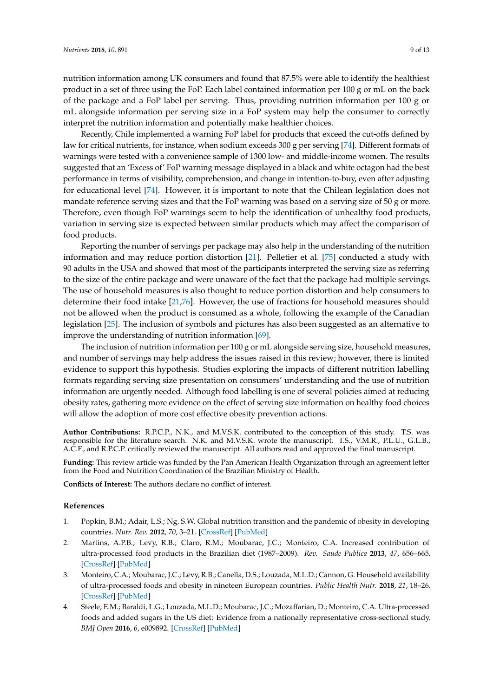nutrition information among UK consumers and found that 87.5% were able to identify the healthiest product in a set of three using the FoP. Each label contained information per 100 g or mL on the back of the package and a FoP label per serving. Thus, providing nutrition information per 100 g or mL alongside information per serving size in a FoP system may help the consumer to correctly interpret the nutrition information and potentially make healthier choices.

Recently, Chile implemented a warning FoP label for products that exceed the cut-offs defined by law for critical nutrients, for instance, when sodium exceeds 300 g per serving [\[74\]](#page-12-4). Different formats of warnings were tested with a convenience sample of 1300 low- and middle-income women. The results suggested that an 'Excess of' FoP warning message displayed in a black and white octagon had the best performance in terms of visibility, comprehension, and change in intention-to-buy, even after adjusting for educational level [\[74\]](#page-12-4). However, it is important to note that the Chilean legislation does not mandate reference serving sizes and that the FoP warning was based on a serving size of 50 g or more. Therefore, even though FoP warnings seem to help the identification of unhealthy food products, variation in serving size is expected between similar products which may affect the comparison of food products.

Reporting the number of servings per package may also help in the understanding of the nutrition information and may reduce portion distortion [\[21\]](#page-9-16). Pelletier et al. [\[75\]](#page-12-5) conducted a study with 90 adults in the USA and showed that most of the participants interpreted the serving size as referring to the size of the entire package and were unaware of the fact that the package had multiple servings. The use of household measures is also thought to reduce portion distortion and help consumers to determine their food intake [\[21](#page-9-16)[,76\]](#page-12-6). However, the use of fractions for household measures should not be allowed when the product is consumed as a whole, following the example of the Canadian legislation [\[25\]](#page-9-20). The inclusion of symbols and pictures has also been suggested as an alternative to improve the understanding of nutrition information [\[69\]](#page-11-16).

The inclusion of nutrition information per 100 g or mL alongside serving size, household measures, and number of servings may help address the issues raised in this review; however, there is limited evidence to support this hypothesis. Studies exploring the impacts of different nutrition labelling formats regarding serving size presentation on consumers' understanding and the use of nutrition information are urgently needed. Although food labelling is one of several policies aimed at reducing obesity rates, gathering more evidence on the effect of serving size information on healthy food choices will allow the adoption of more cost effective obesity prevention actions.

**Author Contributions:** R.P.C.P., N.K., and M.V.S.K. contributed to the conception of this study. T.S. was responsible for the literature search. N.K. and M.V.S.K. wrote the manuscript. T.S., V.M.R., P.L.U., G.L.B., A.C.F., and R.P.C.P. critically reviewed the manuscript. All authors read and approved the final manuscript.

**Funding:** This review article was funded by the Pan American Health Organization through an agreement letter from the Food and Nutrition Coordination of the Brazilian Ministry of Health.

**Conflicts of Interest:** The authors declare no conflict of interest.

#### **References**

- <span id="page-8-0"></span>1. Popkin, B.M.; Adair, L.S.; Ng, S.W. Global nutrition transition and the pandemic of obesity in developing countries. *Nutr. Rev.* **2012**, *70*, 3–21. [\[CrossRef\]](http://dx.doi.org/10.1111/j.1753-4887.2011.00456.x) [\[PubMed\]](http://www.ncbi.nlm.nih.gov/pubmed/22221213)
- <span id="page-8-1"></span>2. Martins, A.P.B.; Levy, R.B.; Claro, R.M.; Moubarac, J.C.; Monteiro, C.A. Increased contribution of ultra-processed food products in the Brazilian diet (1987–2009). *Rev. Saude Publica* **2013**, *47*, 656–665. [\[CrossRef\]](http://dx.doi.org/10.1590/S0034-8910.2013047004968) [\[PubMed\]](http://www.ncbi.nlm.nih.gov/pubmed/24346675)
- <span id="page-8-2"></span>3. Monteiro, C.A.; Moubarac, J.C.; Levy, R.B.; Canella, D.S.; Louzada, M.L.D.; Cannon, G. Household availability of ultra-processed foods and obesity in nineteen European countries. *Public Health Nutr.* **2018**, *21*, 18–26. [\[CrossRef\]](http://dx.doi.org/10.1017/S1368980017001379) [\[PubMed\]](http://www.ncbi.nlm.nih.gov/pubmed/28714422)
- <span id="page-8-3"></span>4. Steele, E.M.; Baraldi, L.G.; Louzada, M.L.D.; Moubarac, J.C.; Mozaffarian, D.; Monteiro, C.A. Ultra-processed foods and added sugars in the US diet: Evidence from a nationally representative cross-sectional study. *BMJ Open* **2016**, *6*, e009892. [\[CrossRef\]](http://dx.doi.org/10.1136/bmjopen-2015-009892) [\[PubMed\]](http://www.ncbi.nlm.nih.gov/pubmed/26962035)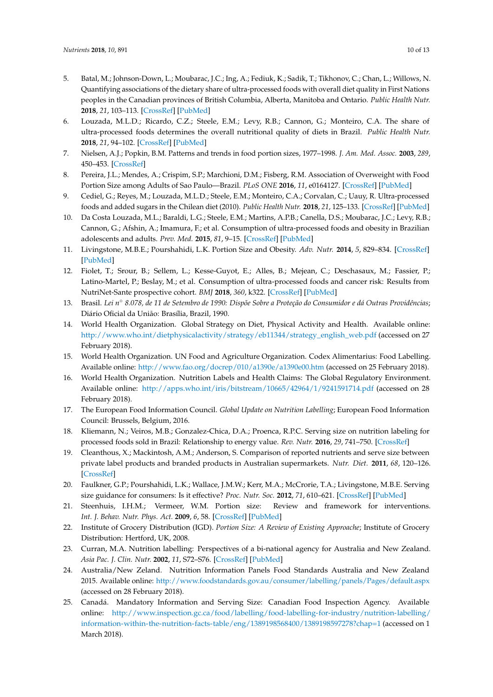- <span id="page-9-3"></span>5. Batal, M.; Johnson-Down, L.; Moubarac, J.C.; Ing, A.; Fediuk, K.; Sadik, T.; Tikhonov, C.; Chan, L.; Willows, N. Quantifying associations of the dietary share of ultra-processed foods with overall diet quality in First Nations peoples in the Canadian provinces of British Columbia, Alberta, Manitoba and Ontario. *Public Health Nutr.* **2018**, *21*, 103–113. [\[CrossRef\]](http://dx.doi.org/10.1017/S1368980017001677) [\[PubMed\]](http://www.ncbi.nlm.nih.gov/pubmed/28738909)
- <span id="page-9-0"></span>6. Louzada, M.L.D.; Ricardo, C.Z.; Steele, E.M.; Levy, R.B.; Cannon, G.; Monteiro, C.A. The share of ultra-processed foods determines the overall nutritional quality of diets in Brazil. *Public Health Nutr.* **2018**, *21*, 94–102. [\[CrossRef\]](http://dx.doi.org/10.1017/S1368980017001434) [\[PubMed\]](http://www.ncbi.nlm.nih.gov/pubmed/28714425)
- <span id="page-9-1"></span>7. Nielsen, A.J.; Popkin, B.M. Patterns and trends in food portion sizes, 1977–1998. *J. Am. Med. Assoc.* **2003**, *289*, 450–453. [\[CrossRef\]](http://dx.doi.org/10.1001/jama.289.4.450)
- <span id="page-9-2"></span>8. Pereira, J.L.; Mendes, A.; Crispim, S.P.; Marchioni, D.M.; Fisberg, R.M. Association of Overweight with Food Portion Size among Adults of Sao Paulo—Brazil. *PLoS ONE* **2016**, *11*, e0164127. [\[CrossRef\]](http://dx.doi.org/10.1371/journal.pone.0164127) [\[PubMed\]](http://www.ncbi.nlm.nih.gov/pubmed/27706222)
- <span id="page-9-4"></span>9. Cediel, G.; Reyes, M.; Louzada, M.L.D.; Steele, E.M.; Monteiro, C.A.; Corvalan, C.; Uauy, R. Ultra-processed foods and added sugars in the Chilean diet (2010). *Public Health Nutr.* **2018**, *21*, 125–133. [\[CrossRef\]](http://dx.doi.org/10.1017/S1368980017001161) [\[PubMed\]](http://www.ncbi.nlm.nih.gov/pubmed/28625223)
- <span id="page-9-5"></span>10. Da Costa Louzada, M.L.; Baraldi, L.G.; Steele, E.M.; Martins, A.P.B.; Canella, D.S.; Moubarac, J.C.; Levy, R.B.; Cannon, G.; Afshin, A.; Imamura, F.; et al. Consumption of ultra-processed foods and obesity in Brazilian adolescents and adults. *Prev. Med.* **2015**, *81*, 9–15. [\[CrossRef\]](http://dx.doi.org/10.1016/j.ypmed.2015.07.018) [\[PubMed\]](http://www.ncbi.nlm.nih.gov/pubmed/26231112)
- <span id="page-9-6"></span>11. Livingstone, M.B.E.; Pourshahidi, L.K. Portion Size and Obesity. *Adv. Nutr.* **2014**, *5*, 829–834. [\[CrossRef\]](http://dx.doi.org/10.3945/an.114.007104) [\[PubMed\]](http://www.ncbi.nlm.nih.gov/pubmed/25398749)
- <span id="page-9-7"></span>12. Fiolet, T.; Srour, B.; Sellem, L.; Kesse-Guyot, E.; Alles, B.; Mejean, C.; Deschasaux, M.; Fassier, P.; Latino-Martel, P.; Beslay, M.; et al. Consumption of ultra-processed foods and cancer risk: Results from NutriNet-Sante prospective cohort. *BMJ* **2018**, *360*, k322. [\[CrossRef\]](http://dx.doi.org/10.1136/bmj.k322) [\[PubMed\]](http://www.ncbi.nlm.nih.gov/pubmed/29444771)
- <span id="page-9-8"></span>13. Brasil. *Lei n*◦ *8.078, de 11 de Setembro de 1990: Dispõe Sobre a Proteção do Consumidor e dá Outras Providências*; Diário Oficial da União: Brasília, Brazil, 1990.
- <span id="page-9-9"></span>14. World Health Organization. Global Strategy on Diet, Physical Activity and Health. Available online: [http://www.who.int/dietphysicalactivity/strategy/eb11344/strategy\\_english\\_web.pdf](http://www.who.int/dietphysicalactivity/strategy/eb11344/strategy_english_web.pdf) (accessed on 27 February 2018).
- <span id="page-9-10"></span>15. World Health Organization. UN Food and Agriculture Organization. Codex Alimentarius: Food Labelling. Available online: <http://www.fao.org/docrep/010/a1390e/a1390e00.htm> (accessed on 25 February 2018).
- <span id="page-9-11"></span>16. World Health Organization. Nutrition Labels and Health Claims: The Global Regulatory Environment. Available online: <http://apps.who.int/iris/bitstream/10665/42964/1/9241591714.pdf> (accessed on 28 February 2018).
- <span id="page-9-12"></span>17. The European Food Information Council. *Global Update on Nutrition Labelling*; European Food Information Council: Brussels, Belgium, 2016.
- <span id="page-9-13"></span>18. Kliemann, N.; Veiros, M.B.; Gonzalez-Chica, D.A.; Proenca, R.P.C. Serving size on nutrition labeling for processed foods sold in Brazil: Relationship to energy value. *Rev. Nutr.* **2016**, *29*, 741–750. [\[CrossRef\]](http://dx.doi.org/10.1590/1678-98652016000500012)
- <span id="page-9-14"></span>19. Cleanthous, X.; Mackintosh, A.M.; Anderson, S. Comparison of reported nutrients and serve size between private label products and branded products in Australian supermarkets. *Nutr. Diet.* **2011**, *68*, 120–126. [\[CrossRef\]](http://dx.doi.org/10.1111/j.1747-0080.2011.01511.x)
- <span id="page-9-15"></span>20. Faulkner, G.P.; Pourshahidi, L.K.; Wallace, J.M.W.; Kerr, M.A.; McCrorie, T.A.; Livingstone, M.B.E. Serving size guidance for consumers: Is it effective? *Proc. Nutr. Soc.* **2012**, *71*, 610–621. [\[CrossRef\]](http://dx.doi.org/10.1017/S0029665112000766) [\[PubMed\]](http://www.ncbi.nlm.nih.gov/pubmed/22877767)
- <span id="page-9-16"></span>21. Steenhuis, I.H.M.; Vermeer, W.M. Portion size: Review and framework for interventions. *Int. J. Behav. Nutr. Phys. Act.* **2009**, *6*, 58. [\[CrossRef\]](http://dx.doi.org/10.1186/1479-5868-6-58) [\[PubMed\]](http://www.ncbi.nlm.nih.gov/pubmed/19698102)
- <span id="page-9-17"></span>22. Institute of Grocery Distribution (IGD). *Portion Size: A Review of Existing Approache*; Institute of Grocery Distribution: Hertford, UK, 2008.
- <span id="page-9-18"></span>23. Curran, M.A. Nutrition labelling: Perspectives of a bi-national agency for Australia and New Zealand. *Asia Pac. J. Clin. Nutr.* **2002**, *11*, S72–S76. [\[CrossRef\]](http://dx.doi.org/10.1046/j.1440-6047.2002.00002.x) [\[PubMed\]](http://www.ncbi.nlm.nih.gov/pubmed/12074190)
- <span id="page-9-19"></span>24. Australia/New Zeland. Nutrition Information Panels Food Standards Australia and New Zealand 2015. Available online: <http://www.foodstandards.gov.au/consumer/labelling/panels/Pages/default.aspx> (accessed on 28 February 2018).
- <span id="page-9-20"></span>25. Canadá. Mandatory Information and Serving Size: Canadian Food Inspection Agency. Available online: [http://www.inspection.gc.ca/food/labelling/food-labelling-for-industry/nutrition-labelling/](http://www.inspection.gc.ca/food/labelling/food-labelling-for-industry/nutrition-labelling/information-within-the-nutrition-facts-table/eng/1389198568400/1389198597278?chap=1) [information-within-the-nutrition-facts-table/eng/1389198568400/1389198597278?chap=1](http://www.inspection.gc.ca/food/labelling/food-labelling-for-industry/nutrition-labelling/information-within-the-nutrition-facts-table/eng/1389198568400/1389198597278?chap=1) (accessed on 1 March 2018).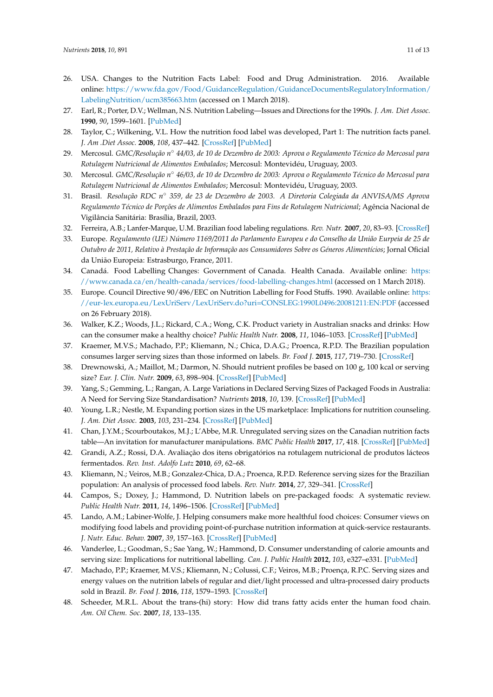- <span id="page-10-0"></span>26. USA. Changes to the Nutrition Facts Label: Food and Drug Administration. 2016. Available online: [https://www.fda.gov/Food/GuidanceRegulation/GuidanceDocumentsRegulatoryInformation/](https://www.fda.gov/Food/GuidanceRegulation/GuidanceDocumentsRegulatoryInformation/LabelingNutrition/ucm385663.htm) [LabelingNutrition/ucm385663.htm](https://www.fda.gov/Food/GuidanceRegulation/GuidanceDocumentsRegulatoryInformation/LabelingNutrition/ucm385663.htm) (accessed on 1 March 2018).
- <span id="page-10-1"></span>27. Earl, R.; Porter, D.V.; Wellman, N.S. Nutrition Labeling—Issues and Directions for the 1990s. *J. Am. Diet Assoc.* **1990**, *90*, 1599–1601. [\[PubMed\]](http://www.ncbi.nlm.nih.gov/pubmed/2229858)
- <span id="page-10-2"></span>28. Taylor, C.; Wilkening, V.L. How the nutrition food label was developed, Part 1: The nutrition facts panel. *J. Am .Diet Assoc.* **2008**, *108*, 437–442. [\[CrossRef\]](http://dx.doi.org/10.1016/j.jada.2007.12.010) [\[PubMed\]](http://www.ncbi.nlm.nih.gov/pubmed/18313424)
- <span id="page-10-3"></span>29. Mercosul. *GMC/Resolução n*◦ *44/03, de 10 de Dezembro de 2003: Aprova o Regulamento Técnico do Mercosul para Rotulagem Nutricional de Alimentos Embalados*; Mercosul: Montevidéu, Uruguay, 2003.
- <span id="page-10-4"></span>30. Mercosul. *GMC/Resolução n*◦ *46/03, de 10 de Dezembro de 2003: Aprova o Regulamento Técnico do Mercosul para Rotulagem Nutricional de Alimentos Embalados*; Mercosul: Montevidéu, Uruguay, 2003.
- <span id="page-10-5"></span>31. Brasil. *Resolução RDC n*◦ *359, de 23 de Dezembro de 2003. A Diretoria Colegiada da ANVISA/MS Aprova Regulamento Técnico de Porções de Alimentos Embalados para Fins de Rotulagem Nutricional*; Agência Nacional de Vigilância Sanitária: Brasília, Brazil, 2003.
- <span id="page-10-6"></span>32. Ferreira, A.B.; Lanfer-Marque, U.M. Brazilian food labeling regulations. *Rev. Nutr.* **2007**, *20*, 83–93. [\[CrossRef\]](http://dx.doi.org/10.1590/S1415-52732007000100009)
- <span id="page-10-7"></span>33. Europe. *Regulamento (UE) Número 1169/2011 do Parlamento Europeu e do Conselho da União Eurpeia de 25 de Outubro de 2011, Relativo à Prestação de Informação aos Consumidores Sobre os Géneros Alimentícios*; Jornal Oficial da União Europeia: Estrasburgo, France, 2011.
- <span id="page-10-8"></span>34. Canadá. Food Labelling Changes: Government of Canada. Health Canada. Available online: [https:](https://www.canada.ca/en/health-canada/services/food-labelling-changes.html) [//www.canada.ca/en/health-canada/services/food-labelling-changes.html](https://www.canada.ca/en/health-canada/services/food-labelling-changes.html) (accessed on 1 March 2018).
- <span id="page-10-9"></span>35. Europe. Council Directive 90/496/EEC on Nutrition Labelling for Food Stuffs. 1990. Available online: [https:](https://eur-lex.europa.eu/LexUriServ/LexUriServ.do?uri=CONSLEG:1990L0496:20081211:EN:PDF) [//eur-lex.europa.eu/LexUriServ/LexUriServ.do?uri=CONSLEG:1990L0496:20081211:EN:PDF](https://eur-lex.europa.eu/LexUriServ/LexUriServ.do?uri=CONSLEG:1990L0496:20081211:EN:PDF) (accessed on 26 February 2018).
- <span id="page-10-10"></span>36. Walker, K.Z.; Woods, J.L.; Rickard, C.A.; Wong, C.K. Product variety in Australian snacks and drinks: How can the consumer make a healthy choice? *Public Health Nutr.* **2008**, *11*, 1046–1053. [\[CrossRef\]](http://dx.doi.org/10.1017/S1368980007001462) [\[PubMed\]](http://www.ncbi.nlm.nih.gov/pubmed/18096104)
- <span id="page-10-17"></span>37. Kraemer, M.V.S.; Machado, P.P.; Kliemann, N.; Chica, D.A.G.; Proenca, R.P.D. The Brazilian population consumes larger serving sizes than those informed on labels. *Br. Food J.* **2015**, *117*, 719–730. [\[CrossRef\]](http://dx.doi.org/10.1108/BFJ-11-2013-0339)
- <span id="page-10-11"></span>38. Drewnowski, A.; Maillot, M.; Darmon, N. Should nutrient profiles be based on 100 g, 100 kcal or serving size? *Eur. J. Clin. Nutr.* **2009**, *63*, 898–904. [\[CrossRef\]](http://dx.doi.org/10.1038/ejcn.2008.53) [\[PubMed\]](http://www.ncbi.nlm.nih.gov/pubmed/18985061)
- <span id="page-10-12"></span>39. Yang, S.; Gemming, L.; Rangan, A. Large Variations in Declared Serving Sizes of Packaged Foods in Australia: A Need for Serving Size Standardisation? *Nutrients* **2018**, *10*, 139. [\[CrossRef\]](http://dx.doi.org/10.3390/nu10020139) [\[PubMed\]](http://www.ncbi.nlm.nih.gov/pubmed/29382083)
- <span id="page-10-13"></span>40. Young, L.R.; Nestle, M. Expanding portion sizes in the US marketplace: Implications for nutrition counseling. *J. Am. Diet Assoc.* **2003**, *103*, 231–234. [\[CrossRef\]](http://dx.doi.org/10.1053/jada.2003.50027) [\[PubMed\]](http://www.ncbi.nlm.nih.gov/pubmed/12589331)
- <span id="page-10-14"></span>41. Chan, J.Y.M.; Scourboutakos, M.J.; L'Abbe, M.R. Unregulated serving sizes on the Canadian nutrition facts table—An invitation for manufacturer manipulations. *BMC Public Health* **2017**, *17*, 418. [\[CrossRef\]](http://dx.doi.org/10.1186/s12889-017-4362-0) [\[PubMed\]](http://www.ncbi.nlm.nih.gov/pubmed/28482826)
- <span id="page-10-15"></span>42. Grandi, A.Z.; Rossi, D.A. Avaliação dos itens obrigatórios na rotulagem nutricional de produtos lácteos fermentados. *Rev. Inst. Adolfo Lutz* **2010**, *69*, 62–68.
- <span id="page-10-16"></span>43. Kliemann, N.; Veiros, M.B.; Gonzalez-Chica, D.A.; Proenca, R.P.D. Reference serving sizes for the Brazilian population: An analysis of processed food labels. *Rev. Nutr.* **2014**, *27*, 329–341. [\[CrossRef\]](http://dx.doi.org/10.1590/1415-52732014000300007)
- <span id="page-10-18"></span>44. Campos, S.; Doxey, J.; Hammond, D. Nutrition labels on pre-packaged foods: A systematic review. *Public Health Nutr.* **2011**, *14*, 1496–1506. [\[CrossRef\]](http://dx.doi.org/10.1017/S1368980010003290) [\[PubMed\]](http://www.ncbi.nlm.nih.gov/pubmed/21241532)
- <span id="page-10-19"></span>45. Lando, A.M.; Labiner-Wolfe, J. Helping consumers make more healthful food choices: Consumer views on modifying food labels and providing point-of-purchase nutrition information at quick-service restaurants. *J. Nutr. Educ. Behav.* **2007**, *39*, 157–163. [\[CrossRef\]](http://dx.doi.org/10.1016/j.jneb.2006.12.010) [\[PubMed\]](http://www.ncbi.nlm.nih.gov/pubmed/17493566)
- <span id="page-10-20"></span>46. Vanderlee, L.; Goodman, S.; Sae Yang, W.; Hammond, D. Consumer understanding of calorie amounts and serving size: Implications for nutritional labelling. *Can. J. Public Health* **2012**, *103*, e327–e331. [\[PubMed\]](http://www.ncbi.nlm.nih.gov/pubmed/23617982)
- <span id="page-10-21"></span>47. Machado, P.P.; Kraemer, M.V.S.; Kliemann, N.; Colussi, C.F.; Veiros, M.B.; Proença, R.P.C. Serving sizes and energy values on the nutrition labels of regular and diet/light processed and ultra-processed dairy products sold in Brazil. *Br. Food J.* **2016**, *118*, 1579–1593. [\[CrossRef\]](http://dx.doi.org/10.1108/BFJ-10-2015-0353)
- <span id="page-10-22"></span>48. Scheeder, M.R.L. About the trans-(hi) story: How did trans fatty acids enter the human food chain. *Am. Oil Chem. Soc.* **2007**, *18*, 133–135.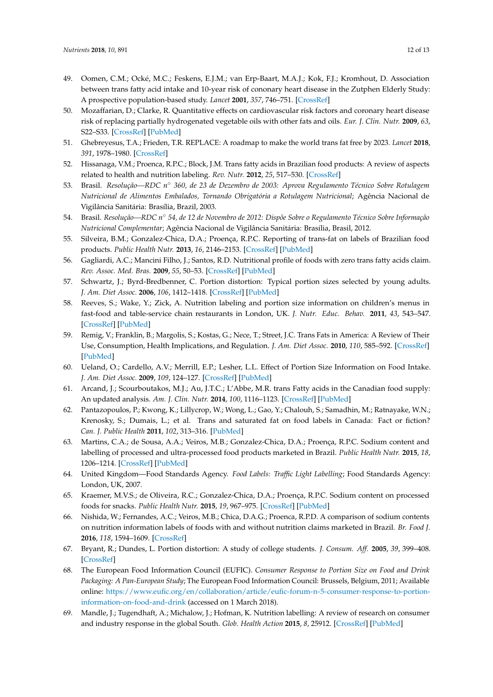- 49. Oomen, C.M.; Ocké, M.C.; Feskens, E.J.M.; van Erp-Baart, M.A.J.; Kok, F.J.; Kromhout, D. Association between trans fatty acid intake and 10-year risk of cononary heart disease in the Zutphen Elderly Study: A prospective population-based study. *Lancet* **2001**, *357*, 746–751. [\[CrossRef\]](http://dx.doi.org/10.1016/S0140-6736(00)04166-0)
- <span id="page-11-0"></span>50. Mozaffarian, D.; Clarke, R. Quantitative effects on cardiovascular risk factors and coronary heart disease risk of replacing partially hydrogenated vegetable oils with other fats and oils. *Eur. J. Clin. Nutr.* **2009**, *63*, S22–S33. [\[CrossRef\]](http://dx.doi.org/10.1038/sj.ejcn.1602976) [\[PubMed\]](http://www.ncbi.nlm.nih.gov/pubmed/19424216)
- <span id="page-11-1"></span>51. Ghebreyesus, T.A.; Frieden, T.R. REPLACE: A roadmap to make the world trans fat free by 2023. *Lancet* **2018**, *391*, 1978–1980. [\[CrossRef\]](http://dx.doi.org/10.1016/S0140-6736(18)31083-3)
- <span id="page-11-2"></span>52. Hissanaga, V.M.; Proenca, R.P.C.; Block, J.M. Trans fatty acids in Brazilian food products: A review of aspects related to health and nutrition labeling. *Rev. Nutr.* **2012**, *25*, 517–530. [\[CrossRef\]](http://dx.doi.org/10.1590/S1415-52732012000400009)
- <span id="page-11-3"></span>53. Brasil. *Resolução—RDC n*◦ *360, de 23 de Dezembro de 2003: Aprova Regulamento Técnico Sobre Rotulagem Nutricional de Alimentos Embalados, Tornando Obrigatória a Rotulagem Nutricional*; Agência Nacional de Vigilância Sanitária: Brasília, Brazil, 2003.
- <span id="page-11-4"></span>54. Brasil. *Resolução—RDC n*◦ *54, de 12 de Novembro de 2012: Dispõe Sobre o Regulamento Técnico Sobre Informação Nutricional Complementar*; Agência Nacional de Vigilância Sanitária: Brasília, Brasil, 2012.
- <span id="page-11-5"></span>55. Silveira, B.M.; Gonzalez-Chica, D.A.; Proença, R.P.C. Reporting of trans-fat on labels of Brazilian food products. *Public Health Nutr.* **2013**, *16*, 2146–2153. [\[CrossRef\]](http://dx.doi.org/10.1017/S1368980013000050) [\[PubMed\]](http://www.ncbi.nlm.nih.gov/pubmed/23388131)
- <span id="page-11-6"></span>56. Gagliardi, A.C.; Mancini Filho, J.; Santos, R.D. Nutritional profile of foods with zero trans fatty acids claim. *Rev. Assoc. Med. Bras.* **2009**, *55*, 50–53. [\[CrossRef\]](http://dx.doi.org/10.1590/S0104-42302009000100015) [\[PubMed\]](http://www.ncbi.nlm.nih.gov/pubmed/19360278)
- <span id="page-11-7"></span>57. Schwartz, J.; Byrd-Bredbenner, C. Portion distortion: Typical portion sizes selected by young adults. *J. Am. Diet Assoc.* **2006**, *106*, 1412–1418. [\[CrossRef\]](http://dx.doi.org/10.1016/j.jada.2006.06.006) [\[PubMed\]](http://www.ncbi.nlm.nih.gov/pubmed/16963346)
- 58. Reeves, S.; Wake, Y.; Zick, A. Nutrition labeling and portion size information on children's menus in fast-food and table-service chain restaurants in London, UK. *J. Nutr. Educ. Behav.* **2011**, *43*, 543–547. [\[CrossRef\]](http://dx.doi.org/10.1016/j.jneb.2010.12.006) [\[PubMed\]](http://www.ncbi.nlm.nih.gov/pubmed/21924958)
- <span id="page-11-9"></span>59. Remig, V.; Franklin, B.; Margolis, S.; Kostas, G.; Nece, T.; Street, J.C. Trans Fats in America: A Review of Their Use, Consumption, Health Implications, and Regulation. *J. Am. Diet Assoc.* **2010**, *110*, 585–592. [\[CrossRef\]](http://dx.doi.org/10.1016/j.jada.2009.12.024) [\[PubMed\]](http://www.ncbi.nlm.nih.gov/pubmed/20338284)
- 60. Ueland, O.; Cardello, A.V.; Merrill, E.P.; Lesher, L.L. Effect of Portion Size Information on Food Intake. *J. Am. Diet Assoc.* **2009**, *109*, 124–127. [\[CrossRef\]](http://dx.doi.org/10.1016/j.jada.2008.10.002) [\[PubMed\]](http://www.ncbi.nlm.nih.gov/pubmed/19103332)
- 61. Arcand, J.; Scourboutakos, M.J.; Au, J.T.C.; L'Abbe, M.R. trans Fatty acids in the Canadian food supply: An updated analysis. *Am. J. Clin. Nutr.* **2014**, *100*, 1116–1123. [\[CrossRef\]](http://dx.doi.org/10.3945/ajcn.114.088732) [\[PubMed\]](http://www.ncbi.nlm.nih.gov/pubmed/25099549)
- <span id="page-11-8"></span>62. Pantazopoulos, P.; Kwong, K.; Lillycrop, W.; Wong, L.; Gao, Y.; Chalouh, S.; Samadhin, M.; Ratnayake, W.N.; Krenosky, S.; Dumais, L.; et al. Trans and saturated fat on food labels in Canada: Fact or fiction? *Can. J. Public Health* **2011**, *102*, 313–316. [\[PubMed\]](http://www.ncbi.nlm.nih.gov/pubmed/21913591)
- <span id="page-11-10"></span>63. Martins, C.A.; de Sousa, A.A.; Veiros, M.B.; Gonzalez-Chica, D.A.; Proença, R.P.C. Sodium content and labelling of processed and ultra-processed food products marketed in Brazil. *Public Health Nutr.* **2015**, *18*, 1206–1214. [\[CrossRef\]](http://dx.doi.org/10.1017/S1368980014001736) [\[PubMed\]](http://www.ncbi.nlm.nih.gov/pubmed/25167362)
- <span id="page-11-11"></span>64. United Kingdom—Food Standards Agency. *Food Labels: Traffic Light Labelling*; Food Standards Agency: London, UK, 2007.
- <span id="page-11-12"></span>65. Kraemer, M.V.S.; de Oliveira, R.C.; Gonzalez-Chica, D.A.; Proença, R.P.C. Sodium content on processed foods for snacks. *Public Health Nutr.* **2015**, *19*, 967–975. [\[CrossRef\]](http://dx.doi.org/10.1017/S1368980015001718) [\[PubMed\]](http://www.ncbi.nlm.nih.gov/pubmed/26054849)
- <span id="page-11-13"></span>66. Nishida, W.; Fernandes, A.C.; Veiros, M.B.; Chica, D.A.G.; Proenca, R.P.D. A comparison of sodium contents on nutrition information labels of foods with and without nutrition claims marketed in Brazil. *Br. Food J.* **2016**, *118*, 1594–1609. [\[CrossRef\]](http://dx.doi.org/10.1108/BFJ-09-2015-0325)
- <span id="page-11-14"></span>67. Bryant, R.; Dundes, L. Portion distortion: A study of college students. *J. Consum. Aff.* **2005**, *39*, 399–408. [\[CrossRef\]](http://dx.doi.org/10.1111/j.1745-6606.2005.00021.x)
- <span id="page-11-15"></span>68. The European Food Information Council (EUFIC). *Consumer Response to Portion Size on Food and Drink Packaging: A Pan-European Study*; The European Food Information Council: Brussels, Belgium, 2011; Available online: [https://www.eufic.org/en/collaboration/article/eufic-forum-n-5-consumer-response-to-portion](https://www.eufic.org/en/collaboration/article/eufic-forum-n-5-consumer-response-to-portion-information-on-food-and-drink)[information-on-food-and-drink](https://www.eufic.org/en/collaboration/article/eufic-forum-n-5-consumer-response-to-portion-information-on-food-and-drink) (accessed on 1 March 2018).
- <span id="page-11-16"></span>69. Mandle, J.; Tugendhaft, A.; Michalow, J.; Hofman, K. Nutrition labelling: A review of research on consumer and industry response in the global South. *Glob. Health Action* **2015**, *8*, 25912. [\[CrossRef\]](http://dx.doi.org/10.3402/gha.v8.25912) [\[PubMed\]](http://www.ncbi.nlm.nih.gov/pubmed/25623608)